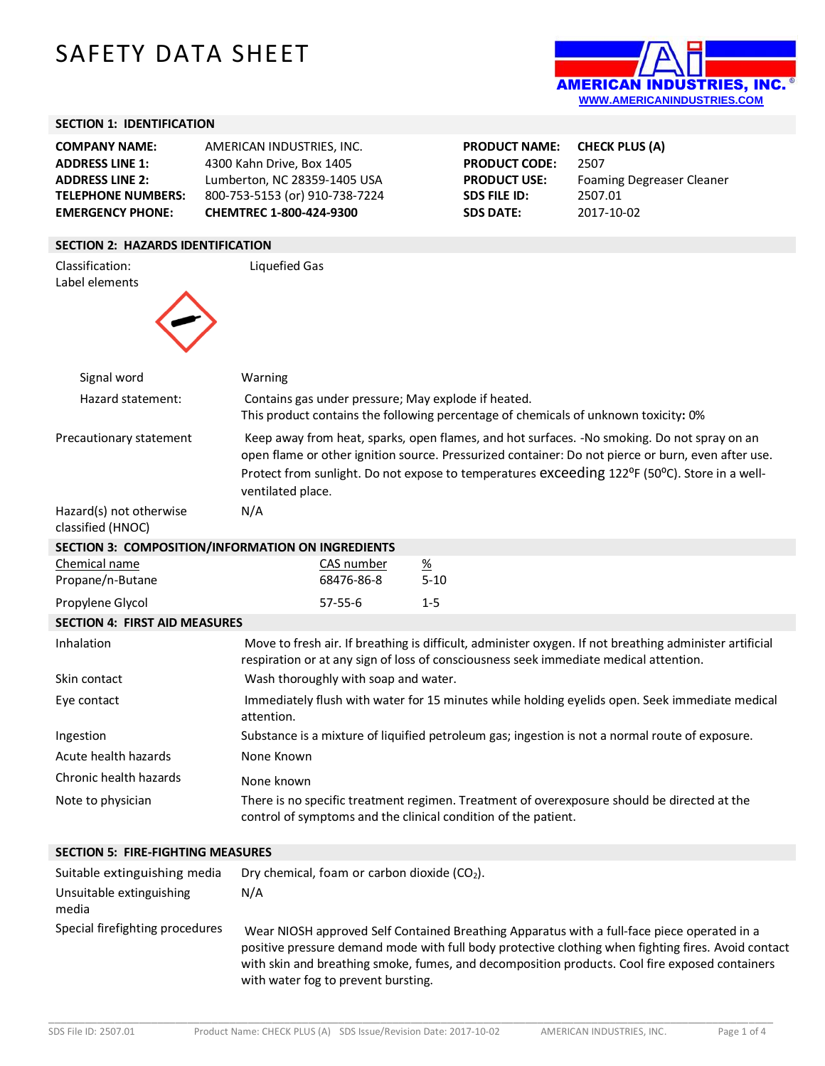# SAFETY DATA SHEET



## **SECTION 1: IDENTIFICATION**

| <b>COMPANY NAME:</b><br><b>ADDRESS LINE 1:</b><br><b>ADDRESS LINE 2:</b><br><b>TELEPHONE NUMBERS:</b><br><b>EMERGENCY PHONE:</b> | AMERICAN INDUSTRIES, INC.<br>4300 Kahn Drive, Box 1405<br>Lumberton, NC 28359-1405 USA<br>800-753-5153 (or) 910-738-7224<br>CHEMTREC 1-800-424-9300 |                                                                                                                                                                                                                                                                                                    | <b>PRODUCT NAME:</b><br><b>PRODUCT CODE:</b><br><b>PRODUCT USE:</b><br><b>SDS FILE ID:</b><br><b>SDS DATE:</b> | <b>CHECK PLUS (A)</b><br>2507<br><b>Foaming Degreaser Cleaner</b><br>2507.01<br>2017-10-02 |                                                                                                                                                                                                  |
|----------------------------------------------------------------------------------------------------------------------------------|-----------------------------------------------------------------------------------------------------------------------------------------------------|----------------------------------------------------------------------------------------------------------------------------------------------------------------------------------------------------------------------------------------------------------------------------------------------------|----------------------------------------------------------------------------------------------------------------|--------------------------------------------------------------------------------------------|--------------------------------------------------------------------------------------------------------------------------------------------------------------------------------------------------|
| <b>SECTION 2: HAZARDS IDENTIFICATION</b>                                                                                         |                                                                                                                                                     |                                                                                                                                                                                                                                                                                                    |                                                                                                                |                                                                                            |                                                                                                                                                                                                  |
| Classification:<br>Label elements                                                                                                | Liquefied Gas                                                                                                                                       |                                                                                                                                                                                                                                                                                                    |                                                                                                                |                                                                                            |                                                                                                                                                                                                  |
| Signal word                                                                                                                      | Warning                                                                                                                                             |                                                                                                                                                                                                                                                                                                    |                                                                                                                |                                                                                            |                                                                                                                                                                                                  |
| Hazard statement:                                                                                                                |                                                                                                                                                     | Contains gas under pressure; May explode if heated.<br>This product contains the following percentage of chemicals of unknown toxicity: 0%                                                                                                                                                         |                                                                                                                |                                                                                            |                                                                                                                                                                                                  |
| Precautionary statement                                                                                                          | ventilated place.                                                                                                                                   | Keep away from heat, sparks, open flames, and hot surfaces. -No smoking. Do not spray on an<br>open flame or other ignition source. Pressurized container: Do not pierce or burn, even after use.<br>Protect from sunlight. Do not expose to temperatures exceeding 122°F (50°C). Store in a well- |                                                                                                                |                                                                                            |                                                                                                                                                                                                  |
| Hazard(s) not otherwise<br>classified (HNOC)                                                                                     | N/A                                                                                                                                                 |                                                                                                                                                                                                                                                                                                    |                                                                                                                |                                                                                            |                                                                                                                                                                                                  |
| SECTION 3: COMPOSITION/INFORMATION ON INGREDIENTS                                                                                |                                                                                                                                                     |                                                                                                                                                                                                                                                                                                    |                                                                                                                |                                                                                            |                                                                                                                                                                                                  |
| Chemical name<br>Propane/n-Butane                                                                                                |                                                                                                                                                     | CAS number<br>68476-86-8                                                                                                                                                                                                                                                                           | $\frac{\%}{\%}$<br>$5 - 10$                                                                                    |                                                                                            |                                                                                                                                                                                                  |
| Propylene Glycol                                                                                                                 |                                                                                                                                                     | $57 - 55 - 6$                                                                                                                                                                                                                                                                                      | $1 - 5$                                                                                                        |                                                                                            |                                                                                                                                                                                                  |
| <b>SECTION 4: FIRST AID MEASURES</b>                                                                                             |                                                                                                                                                     |                                                                                                                                                                                                                                                                                                    |                                                                                                                |                                                                                            |                                                                                                                                                                                                  |
| Inhalation                                                                                                                       |                                                                                                                                                     |                                                                                                                                                                                                                                                                                                    |                                                                                                                |                                                                                            | Move to fresh air. If breathing is difficult, administer oxygen. If not breathing administer artificial<br>respiration or at any sign of loss of consciousness seek immediate medical attention. |
| Skin contact                                                                                                                     |                                                                                                                                                     | Wash thoroughly with soap and water.                                                                                                                                                                                                                                                               |                                                                                                                |                                                                                            |                                                                                                                                                                                                  |
| Eye contact                                                                                                                      | attention.                                                                                                                                          | Immediately flush with water for 15 minutes while holding eyelids open. Seek immediate medical                                                                                                                                                                                                     |                                                                                                                |                                                                                            |                                                                                                                                                                                                  |
| Ingestion                                                                                                                        |                                                                                                                                                     |                                                                                                                                                                                                                                                                                                    |                                                                                                                |                                                                                            | Substance is a mixture of liquified petroleum gas; ingestion is not a normal route of exposure.                                                                                                  |
| Acute health hazards                                                                                                             | None Known                                                                                                                                          |                                                                                                                                                                                                                                                                                                    |                                                                                                                |                                                                                            |                                                                                                                                                                                                  |
| Chronic health hazards                                                                                                           | None known                                                                                                                                          |                                                                                                                                                                                                                                                                                                    |                                                                                                                |                                                                                            |                                                                                                                                                                                                  |
| Note to physician                                                                                                                |                                                                                                                                                     |                                                                                                                                                                                                                                                                                                    |                                                                                                                | control of symptoms and the clinical condition of the patient.                             | There is no specific treatment regimen. Treatment of overexposure should be directed at the                                                                                                      |
| <b>SECTION 5: FIRE-FIGHTING MEASURES</b>                                                                                         |                                                                                                                                                     |                                                                                                                                                                                                                                                                                                    |                                                                                                                |                                                                                            |                                                                                                                                                                                                  |
| Suitable extinguishing media                                                                                                     |                                                                                                                                                     | Dry chemical, foam or carbon dioxide (CO2).                                                                                                                                                                                                                                                        |                                                                                                                |                                                                                            |                                                                                                                                                                                                  |
| Unsuitable extinguishing<br>media                                                                                                | N/A                                                                                                                                                 |                                                                                                                                                                                                                                                                                                    |                                                                                                                |                                                                                            |                                                                                                                                                                                                  |

Special firefighting procedures Wear NIOSH approved Self Contained Breathing Apparatus with a full-face piece operated in a positive pressure demand mode with full body protective clothing when fighting fires. Avoid contact with skin and breathing smoke, fumes, and decomposition products. Cool fire exposed containers with water fog to prevent bursting.

\_\_\_\_\_\_\_\_\_\_\_\_\_\_\_\_\_\_\_\_\_\_\_\_\_\_\_\_\_\_\_\_\_\_\_\_\_\_\_\_\_\_\_\_\_\_\_\_\_\_\_\_\_\_\_\_\_\_\_\_\_\_\_\_\_\_\_\_\_\_\_\_\_\_\_\_\_\_\_\_\_\_\_\_\_\_\_\_\_\_\_\_\_\_\_\_\_\_\_\_\_\_\_\_\_\_\_\_\_\_\_\_\_\_\_\_\_\_\_\_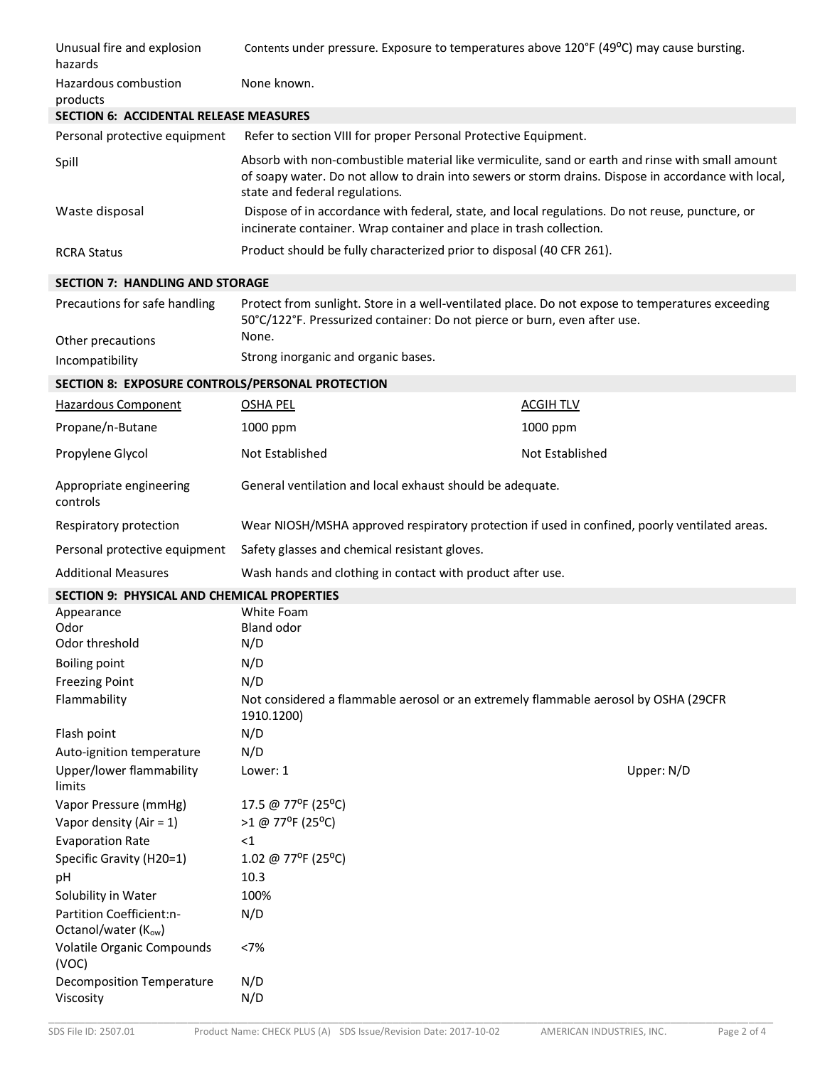| Unusual fire and explosion<br>hazards              | Contents under pressure. Exposure to temperatures above 120°F (49°C) may cause bursting.                                                                                                                                                   |                 |  |
|----------------------------------------------------|--------------------------------------------------------------------------------------------------------------------------------------------------------------------------------------------------------------------------------------------|-----------------|--|
| Hazardous combustion<br>products                   | None known.                                                                                                                                                                                                                                |                 |  |
| <b>SECTION 6: ACCIDENTAL RELEASE MEASURES</b>      |                                                                                                                                                                                                                                            |                 |  |
| Personal protective equipment                      | Refer to section VIII for proper Personal Protective Equipment.                                                                                                                                                                            |                 |  |
| Spill                                              | Absorb with non-combustible material like vermiculite, sand or earth and rinse with small amount<br>of soapy water. Do not allow to drain into sewers or storm drains. Dispose in accordance with local,<br>state and federal regulations. |                 |  |
| Waste disposal                                     | Dispose of in accordance with federal, state, and local regulations. Do not reuse, puncture, or<br>incinerate container. Wrap container and place in trash collection.                                                                     |                 |  |
| <b>RCRA Status</b>                                 | Product should be fully characterized prior to disposal (40 CFR 261).                                                                                                                                                                      |                 |  |
| <b>SECTION 7: HANDLING AND STORAGE</b>             |                                                                                                                                                                                                                                            |                 |  |
| Precautions for safe handling                      | Protect from sunlight. Store in a well-ventilated place. Do not expose to temperatures exceeding<br>50°C/122°F. Pressurized container: Do not pierce or burn, even after use.                                                              |                 |  |
| Other precautions                                  | None.                                                                                                                                                                                                                                      |                 |  |
| Incompatibility                                    | Strong inorganic and organic bases.                                                                                                                                                                                                        |                 |  |
| SECTION 8: EXPOSURE CONTROLS/PERSONAL PROTECTION   |                                                                                                                                                                                                                                            |                 |  |
| Hazardous Component                                | <b>OSHA PEL</b>                                                                                                                                                                                                                            | <b>ACGIHTLV</b> |  |
| Propane/n-Butane                                   | 1000 ppm                                                                                                                                                                                                                                   | 1000 ppm        |  |
| Propylene Glycol                                   | Not Established                                                                                                                                                                                                                            | Not Established |  |
| Appropriate engineering<br>controls                | General ventilation and local exhaust should be adequate.                                                                                                                                                                                  |                 |  |
| Respiratory protection                             | Wear NIOSH/MSHA approved respiratory protection if used in confined, poorly ventilated areas.                                                                                                                                              |                 |  |
| Personal protective equipment                      | Safety glasses and chemical resistant gloves.                                                                                                                                                                                              |                 |  |
| <b>Additional Measures</b>                         | Wash hands and clothing in contact with product after use.                                                                                                                                                                                 |                 |  |
| <b>SECTION 9: PHYSICAL AND CHEMICAL PROPERTIES</b> |                                                                                                                                                                                                                                            |                 |  |
| Appearance                                         | White Foam                                                                                                                                                                                                                                 |                 |  |
| Odor<br>Odor threshold                             | <b>Bland odor</b><br>N/D                                                                                                                                                                                                                   |                 |  |
| <b>Boiling point</b>                               | N/D                                                                                                                                                                                                                                        |                 |  |
| <b>Freezing Point</b>                              | N/D                                                                                                                                                                                                                                        |                 |  |
| Flammability                                       | Not considered a flammable aerosol or an extremely flammable aerosol by OSHA (29CFR<br>1910.1200)                                                                                                                                          |                 |  |
| Flash point                                        | N/D                                                                                                                                                                                                                                        |                 |  |
| Auto-ignition temperature                          | N/D                                                                                                                                                                                                                                        |                 |  |
| Upper/lower flammability<br>limits                 | Lower: 1                                                                                                                                                                                                                                   | Upper: N/D      |  |
| Vapor Pressure (mmHg)                              | 17.5 @ 77°F (25°C)                                                                                                                                                                                                                         |                 |  |
| Vapor density (Air = $1$ )                         | >1 @ 77°F (25°C)                                                                                                                                                                                                                           |                 |  |
| <b>Evaporation Rate</b>                            | <1                                                                                                                                                                                                                                         |                 |  |
| Specific Gravity (H20=1)                           | 1.02 @ 77°F (25°C)                                                                                                                                                                                                                         |                 |  |
| pH                                                 | 10.3                                                                                                                                                                                                                                       |                 |  |
| Solubility in Water                                | 100%                                                                                                                                                                                                                                       |                 |  |
| Partition Coefficient:n-<br>Octanol/water (Kow)    | N/D                                                                                                                                                                                                                                        |                 |  |
| Volatile Organic Compounds<br>(VOC)                | <7%                                                                                                                                                                                                                                        |                 |  |
| <b>Decomposition Temperature</b><br>Viscosity      | N/D<br>N/D                                                                                                                                                                                                                                 |                 |  |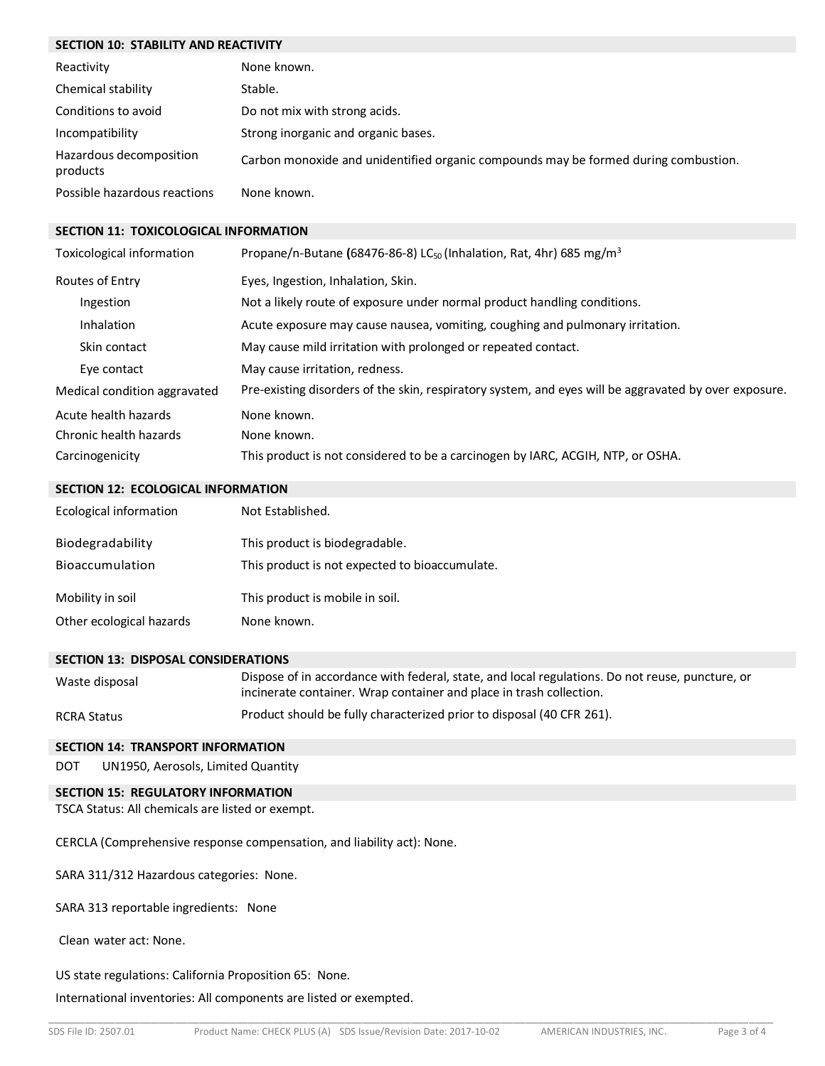## **SECTION 10: STABILITY AND REACTIVITY**

| Reactivity                          | None known.                                                                         |
|-------------------------------------|-------------------------------------------------------------------------------------|
| Chemical stability                  | Stable.                                                                             |
| Conditions to avoid                 | Do not mix with strong acids.                                                       |
| Incompatibility                     | Strong inorganic and organic bases.                                                 |
| Hazardous decomposition<br>products | Carbon monoxide and unidentified organic compounds may be formed during combustion. |
| Possible hazardous reactions        | None known.                                                                         |

#### **SECTION 11: TOXICOLOGICAL INFORMATION**

| Toxicological information    | Propane/n-Butane (68476-86-8) LC <sub>50</sub> (Inhalation, Rat, 4hr) 685 mg/m <sup>3</sup>           |
|------------------------------|-------------------------------------------------------------------------------------------------------|
| Routes of Entry              | Eyes, Ingestion, Inhalation, Skin.                                                                    |
| Ingestion                    | Not a likely route of exposure under normal product handling conditions.                              |
| Inhalation                   | Acute exposure may cause nausea, vomiting, coughing and pulmonary irritation.                         |
| Skin contact                 | May cause mild irritation with prolonged or repeated contact.                                         |
| Eye contact                  | May cause irritation, redness.                                                                        |
| Medical condition aggravated | Pre-existing disorders of the skin, respiratory system, and eyes will be aggravated by over exposure. |
| Acute health hazards         | None known.                                                                                           |
| Chronic health hazards       | None known.                                                                                           |
| Carcinogenicity              | This product is not considered to be a carcinogen by IARC, ACGIH, NTP, or OSHA.                       |

## **SECTION 12: ECOLOGICAL INFORMATION**

| Ecological information   | Not Established.                               |
|--------------------------|------------------------------------------------|
| Biodegradability         | This product is biodegradable.                 |
| Bioaccumulation          | This product is not expected to bioaccumulate. |
| Mobility in soil         | This product is mobile in soil.                |
| Other ecological hazards | None known.                                    |

## **SECTION 13: DISPOSAL CONSIDERATIONS**

| Waste disposal     | Dispose of in accordance with federal, state, and local regulations. Do not reuse, puncture, or<br>incinerate container. Wrap container and place in trash collection. |
|--------------------|------------------------------------------------------------------------------------------------------------------------------------------------------------------------|
| <b>RCRA Status</b> | Product should be fully characterized prior to disposal (40 CFR 261).                                                                                                  |

## **SECTION 14: TRANSPORT INFORMATION**

DOT UN1950, Aerosols, Limited Quantity

## **SECTION 15: REGULATORY INFORMATION**

TSCA Status: All chemicals are listed or exempt.

CERCLA (Comprehensive response compensation, and liability act): None.

SARA 311/312 Hazardous categories: None.

SARA 313 reportable ingredients: None

Clean water act: None.

## US state regulations: California Proposition 65: None.

International inventories: All components are listed or exempted.

\_\_\_\_\_\_\_\_\_\_\_\_\_\_\_\_\_\_\_\_\_\_\_\_\_\_\_\_\_\_\_\_\_\_\_\_\_\_\_\_\_\_\_\_\_\_\_\_\_\_\_\_\_\_\_\_\_\_\_\_\_\_\_\_\_\_\_\_\_\_\_\_\_\_\_\_\_\_\_\_\_\_\_\_\_\_\_\_\_\_\_\_\_\_\_\_\_\_\_\_\_\_\_\_\_\_\_\_\_\_\_\_\_\_\_\_\_\_\_\_